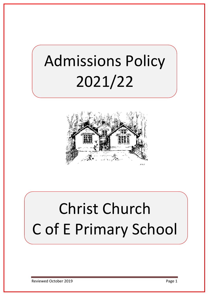# Admissions Policy 2021/22



# Christ Church C of E Primary School

Reviewed October 2019 **Page 1**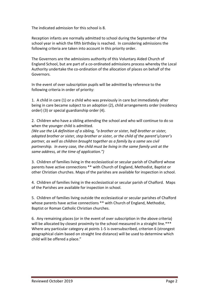The indicated admission for this school is 8.

Reception infants are normally admitted to school during the September of the school year in which the fifth birthday is reached. In considering admissions the following criteria are taken into account in this priority order.

The Governors are the admissions authority of this Voluntary Aided Church of England School, but are part of a co-ordinated admissions process whereby the Local Authority undertake the co-ordination of the allocation of places on behalf of the Governors.

In the event of over subscription pupils will be admitted by reference to the following criteria in order of priority:

1. A child in care (1) or a child who was previously in care but immediately after being in care became subject to an adoption (2), child arrangements order (residency order) (3) or special guardianship order (4).

2. Children who have a sibling attending the school and who will continue to do so when the younger child is admitted.

*(We use the LA definition of a sibling, "a brother or sister, half-brother or sister, adopted brother or sister, step brother or sister, or the child of the parent's/carer's partner, as well as children brought together as a family by a same sex civil partnership. In every case, the child must be living in the same family unit at the same address, at the time of application.")*

3. Children of families living in the ecclesiastical or secular parish of Chalford whose parents have active connections \*\* with Church of England, Methodist, Baptist or other Christian churches. Maps of the parishes are available for inspection in school.

4. Children of families living in the ecclesiastical or secular parish of Chalford. Maps of the Parishes are available for inspection in school.

5. Children of families living outside the ecclesiastical or secular parishes of Chalford whose parents have active connections \*\* with Church of England, Methodist, Baptist or Roman Catholic Christian churches.

6. Any remaining places (or in the event of over subscription in the above criteria) will be allocated by closest proximity to the school measured in a straight line.\*\*\* Where any particular category at points 1-5 is oversubscribed, criterion 6 (strongest geographical claim based on straight line distance) will be used to determine which child will be offered a place."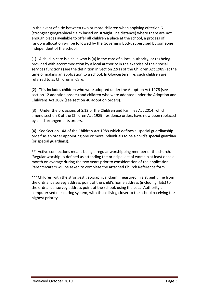In the event of a tie between two or more children when applying criterion 6 (strongest geographical claim based on straight line distance) where there are not enough places available to offer all children a place at the school, a process of random allocation will be followed by the Governing Body, supervised by someone independent of the school.

(1) A child in care is a child who is (a) in the care of a local authority, or (b) being provided with accommodation by a local authority in the exercise of their social services functions (see the definition in Section 22(1) of the Children Act 1989) at the time of making an application to a school. In Gloucestershire, such children are referred to as Children in Care.

(2) This includes children who were adopted under the Adoption Act 1976 (see section 12 adoption orders) and children who were adopted under the Adoption and Childrens Act 2002 (see section 46 adoption orders).

(3) Under the provisions of S.12 of the Children and Families Act 2014, which amend section 8 of the Children Act 1989, residence orders have now been replaced by child arrangements orders.

(4) See Section 14A of the Children Act 1989 which defines a 'special guardianship order' as an order appointing one or more individuals to be a child's special guardian (or special guardians).

\*\* Active connections means being a regular worshipping member of the church. 'Regular worship' is defined as attending the principal act of worship at least once a month on average during the two years prior to consideration of the application. Parents/carers will be asked to complete the attached Church Reference form.

\*\*\*Children with the strongest geographical claim, measured in a straight line from the ordnance survey address point of the child's home address (including flats) to the ordnance survey address point of the school, using the Local Authority's computerised measuring system, with those living closer to the school receiving the highest priority.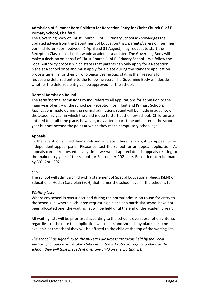# **Admission of Summer Born Children for Reception Entry for Christ Church C. of E. Primary School, Chalford**

The Governing Body of Christ Church C. of E. Primary School acknowledges the updated advice from the Department of Education that, parents/carers of "summer born" children (born between 1 April and 31 August) may request to start the Reception Class of a school a whole academic year later. The Governing Body will make a decision on behalf of Christ Church C. of E. Primary School. We follow the Local Authority process which states that parents can only apply for a Reception place at a school once and must apply for a place during the standard application process timeline for their chronological year group, stating their reasons for requesting deferred entry to the following year. The Governing Body will decide whether the deferred entry can be approved for the school.

## **Normal Admission Round**

The term 'normal admissions round' refers to all applications for admission to the main year of entry of the school i.e. Reception for Infant and Primary Schools. Applications made during the normal admissions round will be made in advance of the academic year in which the child is due to start at the new school. Children are entitled to a full-time place, however, may attend part-time until later in the school year but not beyond the point at which they reach compulsory school age.

## **Appeals**

In the event of a child being refused a place, there is a right to appeal to an independent appeal panel. Please contact the school for an appeal application. As appeals can be requested at any time, we would appreciate it if appeals relating to the main entry year of the school for September 2021 (i.e. Reception) can be made by  $30^{th}$  April 2021.

## *SEN*

The school will admit a child with a statement of Special Educational Needs (SEN) or Educational Health Care plan (ECH) that names the school, even if the school is full.

## *Waiting Lists*

Where any school is oversubscribed during the normal admission round for entry to the school (i.e. where all children requesting a place at a particular school have not been allocated one) the waiting list will be held until the end of the academic year.

All waiting lists will be prioritised according to the school's oversubscription criteria, regardless of the date the application was made, and should any places become available at the school they will be offered to the child at the top of the waiting list.

*The school has signed up to the In-Year Fair Access Protocols held by the Local Authority. Should a vulnerable child within these Protocols require a place at the school, they will take precedent over any child on the waiting list.*